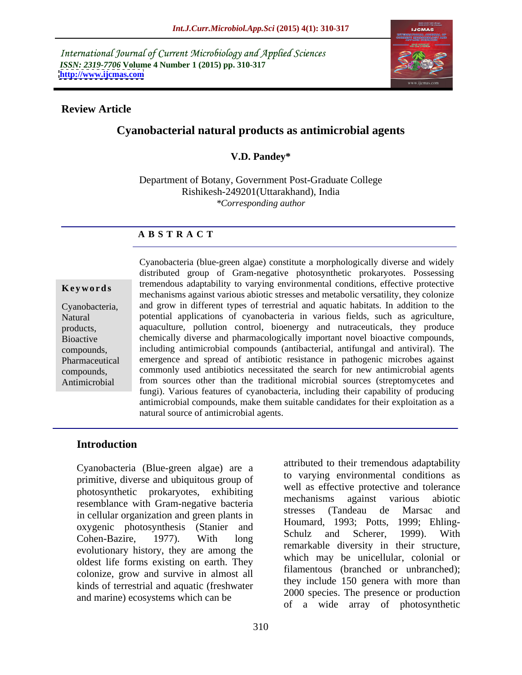International Journal of Current Microbiology and Applied Sciences *ISSN: 2319-7706* **Volume 4 Number 1 (2015) pp. 310-317 <http://www.ijcmas.com>**



### **Review Article**

# **Cyanobacterial natural products as antimicrobial agents**

# **V.D. Pandey\***

Department of Botany, Government Post-Graduate College Rishikesh-249201(Uttarakhand), India *\*Corresponding author* 

# **A B S T R A C T**

Cyanobacteria (blue-green algae) constitute a morphologically diverse and widely distributed group of Gram-negative photosynthetic prokaryotes. Possessing **Keywords** tremendous adaptability to varying environmental conditions, effective protective mechanisms against various abiotic stresses and metabolic versatility, they colonize and grow in different types of terrestrial and aquatic habitats. In addition to the Cyanobacteria, Natural potential applications of cyanobacteria in various fields, such as agriculture, products, a aquaculture, pollution control, bioenergy and nutraceuticals, they produce chemically diverse and pharmacologically important novel bioactive compounds, Bioactive including antimicrobial compounds (antibacterial, antifungal and antiviral). The compounds, Pharmaceutical emergence and spread of antibiotic resistance in pathogenic microbes against commonly used antibiotics necessitated the search for new antimicrobial agents compounds, Antimicrobial from sources other than the traditional microbial sources (streptomycetes and fungi). Various features of cyanobacteria, including their capability of producing antimicrobial compounds, make them suitable candidates for their exploitation as a natural source of antimicrobial agents.

### **Introduction**

Cyanobacteria (Blue-green algae) are a primitive, diverse and ubiquitous group of photosynthetic prokaryotes, exhibiting well as effective protective and tolerance<br>mechanisms against various abiotic resemblance with Gram-negative bacteria<br>in callular organization and grass plants in the stresses (Tandeau de Marsac and in cellular organization and green plants in oxygenic photosynthesis (Stanier and Houmard, 1995; Pous, 1999; Enling-<br>Cabon Barine 1977) With Lang Schulz and Scherer, 1999). With Cohen-Bazire, 1977). With long evolutionary history, they are among the oldest life forms existing on earth. They colonize, grow and survive in almost all kinds of terrestrial and aquatic (freshwater and marine) ecosystems which can be

attributed to their tremendous adaptability to varying environmental conditions as well as effective protective and tolerance mechanisms against various abiotic stresses (Tandeau de Marsac and Houmard, 1993; Potts, 1999; Ehling- Schulz and Scherer, 1999). With remarkable diversity in their structure, which may be unicellular, colonial or filamentous (branched or unbranched); they include 150 genera with more than 2000 species. The presence or production of a wide array of photosynthetic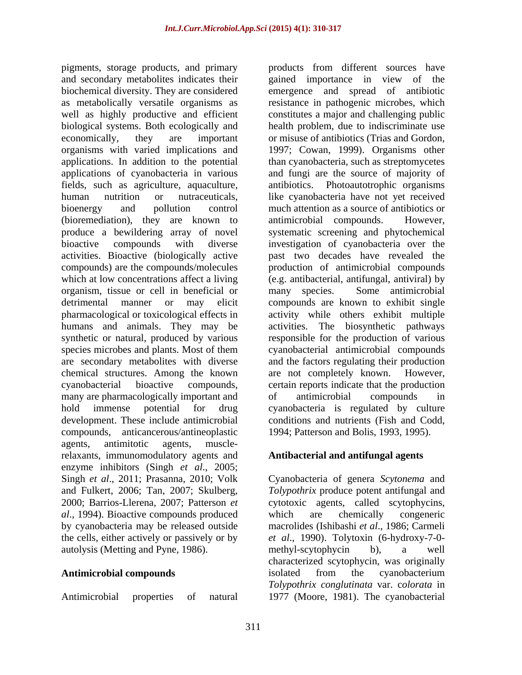pigments, storage products, and primary and secondary metabolites indicates their gained importance in view of the biochemical diversity. They are considered emergence and spread of antibiotic as metabolically versatile organisms as resistance in pathogenic microbes, which well as highly productive and efficient constitutes a major and challenging public biological systems. Both ecologically and health problem, due to indiscriminate use economically, they are important or misuse of antibiotics (Trias and Gordon, organisms with varied implications and 1997; Cowan, 1999). Organisms other applications. In addition to the potential than cyanobacteria, such as streptomycetes applications of cyanobacteria in various and fungi are the source of majority of fields, such as agriculture, aquaculture, human nutrition or nutraceuticals, like cyanobacteria have not yet received bioenergy and pollution control much attention as a source of antibiotics or (bioremediation), they are known to antimicrobial compounds. However, produce a bewildering array of novel bioactive compounds with diverse investigation of cyanobacteria over the activities. Bioactive (biologically active past two decades have revealed the compounds) are the compounds/molecules production of antimicrobial compounds which at low concentrations affect a living (e.g. antibacterial, antifungal, antiviral) by organism, tissue or cell in beneficial or detrimental manner or may elicit compounds are known to exhibit single pharmacological or toxicological effects in activity while others exhibit multiple humans and animals. They may be activities. The biosynthetic pathways synthetic or natural, produced by various responsible for the production of various species microbes and plants. Most of them cyanobacterial antimicrobial compounds are secondary metabolites with diverse chemical structures. Among the known are not completely known. However, cyanobacterial bioactive compounds, certain reports indicate that the production many are pharmacologically important and  $\qquad$  of antimicrobial compounds in hold immense potential for drug cyanobacteria is regulated by culture development. These include antimicrobial conditions and nutrients (Fish and Codd, compounds, anticancerous/antineoplastic agents, antimitotic agents, musclerelaxants, immunomodulatory agents and enzyme inhibitors (Singh *et al*., 2005; Singh *et al*., 2011; Prasanna, 2010; Volk Cyanobacteria of genera *Scytonema* and and Fulkert, 2006; Tan, 2007; Skulberg, *Tolypothrix* produce potent antifungal and 2000; Barrios-Llerena, 2007; Patterson *et*  cytotoxic agents, called scytophycins, *al*., 1994). Bioactive compounds produced by cyanobacteria may be released outside the cells, either actively or passively or by *et al*., 1990). Tolytoxin (6-hydroxy-7-0 autolysis (Metting and Pyne, 1986).

Antimicrobial properties of natural 1977 (Moore, 1981). The cyanobacterial

products from different sources have Photoautotrophic organisms antimicrobial compounds. systematic screening and phytochemical many species. Some antimicrobial and the factors regulating their production are not completely known. of antimicrobial compounds in 1994; Patterson and Bolis, 1993, 1995).

### **Antibacterial and antifungal agents**

Antimicrobial compounds isolated from the cyanobacterium which are chemically congeneric macrolides (Ishibashi *et al*., 1986; Carmeli methyl-scytophycin b), a well characterized scytophycin, was originally isolated from the cyanobacterium *Tolypothrix conglutinata* var. c*olorata* in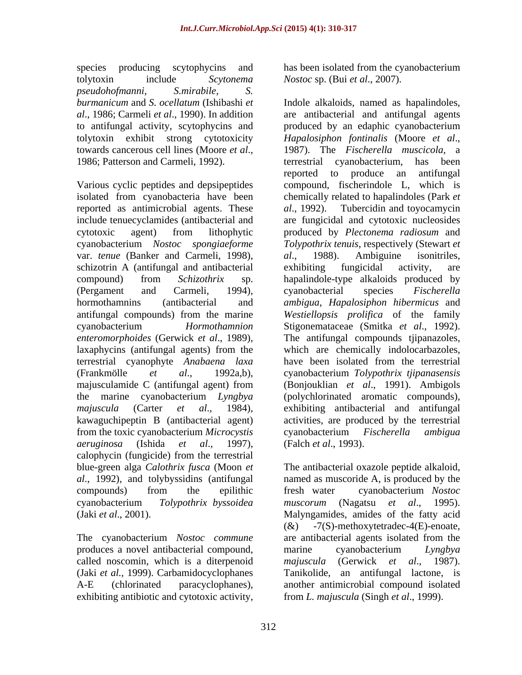species producing scytophycins and has been isolated from the cyanobacterium tolytoxin include *Scytonema Nostoc* sp. (Bui *et al*., 2007). *pseudohofmanni, S.mirabile, S.* to antifungal activity, scytophycins and tolytoxin exhibit strong cytotoxicity *Hapalosiphon fontinalis* (Moore et al.,

reported as antimicrobial agents. These *al.*, 1992). Tubercidin and toyocamycin var. *tenue* (Banker and Carmeli, 1998), schizotrin A (antifungal and antibacterial exhibiting fungicidal activity, are laxaphycins (antifungal agents) from the terrestrial cyanophyte *Anabaena laxa* from the toxic cyanobacterium *Microcystis aeruginosa* (Ishida *et al*., 1997), calophycin (fungicide) from the terrestrial blue-green alga *Calothrix fusca* (Moon *et* 

produces a novel antibacterial compound, marine cyanobacterium Lyngbya called noscomin, which is a diterpenoid majuscula (Gerwick et al., 1987). exhibiting antibiotic and cytotoxic activity,

*burmanicum* and *S. ocellatum* (Ishibashi *et*  Indole alkaloids, named as hapalindoles, *al*., 1986; Carmeli *et al*., 1990). In addition are antibacterial and antifungal agents towards cancerous cell lines (Moore *et al.*, 1987). The *Fischerella muscicola*, a<br>1986; Patterson and Carmeli, 1992). the restrial cyanobacterium, has been Various cyclic peptides and depsipeptides compound, fischerindole L, which is isolated from cyanobacteria have been chemically related to hapalindoles (Park *et* include tenuecyclamides (antibacterial and are fungicidal and cytotoxic nucleosides cytotoxic agent) from lithophytic produced by *Plectonema radiosum* and cyanobacterium *Nostoc spongiaeforme Tolypothrix tenuis*, respectively (Stewart *et*  compound) from *Schizothrix* sp. hapalindole-type alkaloids produced by (Pergament and Carmeli, 1994), cyanobacterial species Fischerella hormothamnins (antibacterial and *ambigua*, *Hapalosiphon hibermicus* and antifungal compounds) from the marine *Westiellopsis prolifica* of the family cyanobacterium *Hormothamnion*  Stigonemataceae (Smitka *et al*., 1992). *enteromorphoides* (Gerwick *et al*., 1989), The antifungal compounds tjipanazoles, (Frankmölle *et al*., 1992a,b), cyanobacterium *Tolypothrix tjipanasensis* majusculamide C (antifungal agent) from (Bonjouklian et al., 1991). Ambigols the marine cyanobacterium *Lyngbya*  (polychlorinated aromatic compounds), *majuscula* (Carter *et al*., 1984), exhibiting antibacterial and antifungal kawaguchipeptin B (antibacterial agent) activities, are produced by the terrestrial produced by an edaphic cyanobacterium *Hapalosiphon fontinalis* (Moore *et al*., 1987). The *Fischerella muscicola,* <sup>a</sup> terrestrial cyanobacterium, has been reported to produce an antifungal *al*., 1992). Tubercidin and toyocamycin *al*., 1988). Ambiguine isonitriles, exhibiting fungicidal activity, are cyanobacterial species *Fischerella*  which are chemically indolocarbazoles, have been isolated from the terrestrial (Bonjouklian *et al*., 1991). Ambigols cyanobacterium *Fischerella ambigua* (Falch *et al*., 1993).

*al*., 1992), and tolybyssidins (antifungal named as muscoride A, is produced by the compounds) from the epilithic fresh water cyanobacterium Nostoc cyanobacterium *Tolypothrix byssoidea* (Jaki *et al*., 2001). Malyngamides, amides of the fatty acid The cyanobacterium *Nostoc commune* are antibacterial agents isolated from the (Jaki *et al.,* 1999). Carbamidocyclophanes Tanikolide, an antifungal lactone, is A-E (chlorinated paracyclophanes), another antimicrobial compound isolated The antibacterial oxazole peptide alkaloid, fresh water cyanobacterium *Nostoc muscorum* (Nagatsu *et al*., 1995).  $(\&)$  -7(S)-methoxytetradec-4(E)-enoate, marine cyanobacterium *Lyngbya majuscula* (Gerwick *et al*., 1987). from *L. majuscula* (Singh *et al*., 1999).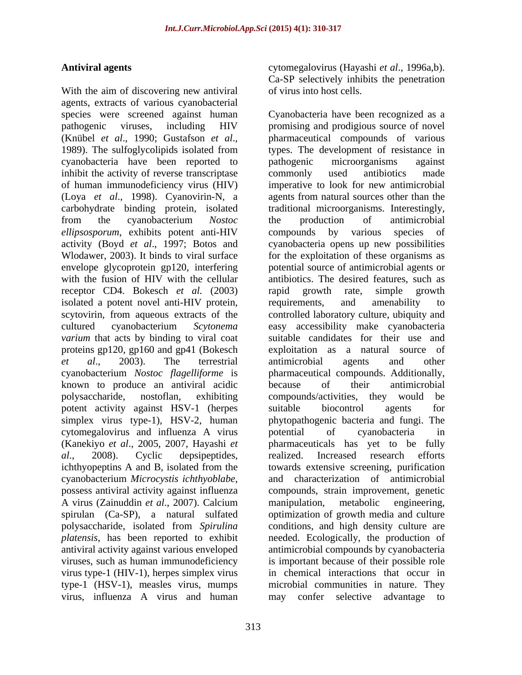With the aim of discovering new antiviral agents, extracts of various cyanobacterial species were screened against human Cyanobacteria have been recognized as a pathogenic viruses, including HIV promising and prodigious source of novel (Knübel *et al.*, 1990; Gustafson *et al.*, pharmaceutical compounds of various 1989). The sulfoglycolipids isolated from types. The development of resistance in cyanobacteria have been reported to inhibit the activity of reverse transcriptase commonly used antibiotics made of human immunodeficiency virus (HIV) imperative to look for new antimicrobial (Loya *et al*., 1998). Cyanovirin-N, a agents from natural sources other than the carbohydrate binding protein, isolated traditional microorganisms. Interestingly, from the cyanobacterium *Nostoc ellipsosporum*, exhibits potent anti-HIV activity (Boyd *et al*., 1997; Botos and cyanobacteria opens up new possibilities Wlodawer, 2003). It binds to viral surface for the exploitation of these organisms as envelope glycoprotein gp120, interfering potential source of antimicrobial agents or with the fusion of HIV with the cellular receptor CD4. Bokesch *et al.* (2003) isolated a potent novel anti-HIV protein, requirements, and amenability to scytovirin, from aqueous extracts of the controlled laboratory culture, ubiquity and cultured cyanobacterium *Scytonema varium* that acts by binding to viral coat suitable candidates for their use and proteins gp120, gp160 and gp41 (Bokesch *et al*., 2003). The terrestrial cyanobacterium *Nostoc flagelliforme* is known to produce an antiviral acidic polysaccharide, nostoflan, exhibiting compounds/activities, they would be potent activity against HSV-1 (herpes simplex virus type-1), HSV-2, human phytopathogenic bacteria and fungi. The cytomegalovirus and influenza A virus (Kanekiyo *et al*., 2005, 2007, Hayashi *et al*., 2008). Cyclic depsipeptides, ichthyopeptins A and B, isolated from the cyanobacterium *Microcystis ichthyoblabe*, and characterization of antimicrobial possess antiviral activity against influenza compounds, strain improvement, genetic A virus (Zainuddin *et al*., 2007). Calcium spirulan (Ca-SP), a natural sulfated optimization of growth media and culture polysaccharide, isolated from *Spirulina*  conditions, and high density culture are *platensis*, has been reported to exhibit antiviral activity against various enveloped antimicrobial compounds by cyanobacteria viruses, such as human immunodeficiency is important because of their possible role virus type-1 (HIV-1), herpes simplex virus in chemical interactions that occur in type-1 (HSV-1), measles virus, mumps

**Antiviral agents** cytomegalovirus (Hayashi *et al*., 1996a,b). Ca-SP selectively inhibits the penetration of virus into host cells.

virus, influenza A virus and human may conferselective advantage topharmaceutical compounds of various types. The development of resistance in pathogenic microorganisms against commonly used antibiotics made the production of antimicrobial compounds by various antibiotics. The desired features, such as rapid growth rate, simple growth requirements, and amenability to easy accessibility make cyanobacteria exploitation as a natural source of antimicrobial agents and other pharmaceutical compounds. Additionally, because of their antimicrobial suitable biocontrol agents for potential of cyanobacteria in pharmaceuticals has yet to be fully realized. Increased research efforts towards extensive screening, purification and characterization of antimicrobial compounds, strain improvement, genetic manipulation, metabolic engineering, needed. Ecologically, the production of microbial communities in nature. They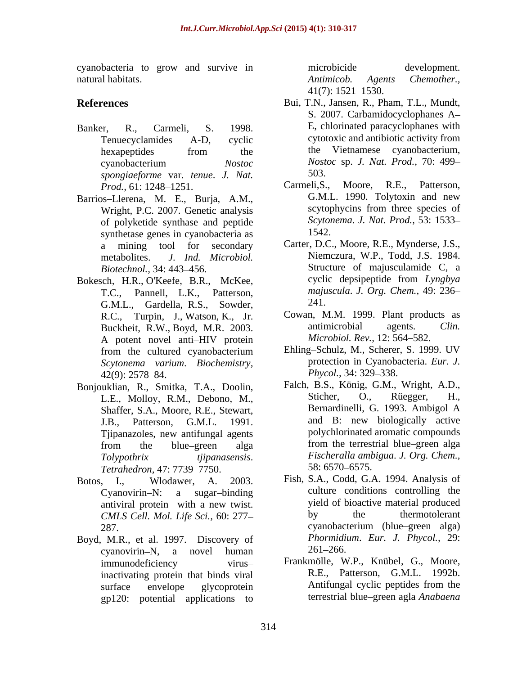cyanobacteria to grow and survive in natural habitats. The summary contract and the matter of the Apple of Antimicob. Agents Chemother.,

- *spongiaeforme* var*. tenue*. *J. Nat.*
- Wright, P.C. 2007. Genetic analysis of polyketide synthase and peptide Scyton<br>synthatise gapes in cyanobacteria as  $1542$ synthetase genes in cyanobacteria as
- G.M.L., Gardella, R.S., Sowder, 241. Buckheit, R.W., Boyd, M.R. 2003. A potent novel anti-HIV protein *Microbiol. Rev.*, 12: 564–582. *Scytonema varium. Biochemistry,* protection in Cyanoba<br>42(9): 2578–84<br>*Phycol.*, 34: 329–338.
- Bonjouklian, R., Smitka, T.A., Doolin, Shaffer, S.A., Moore, R.E., Stewart, *Tetrahedron,* 47: 7739–7750. 58: 6570–6575.
- 
- Boyd, M.R., et al. 1997. Discovery of *Phormidia*<br>cyanovirin–N a novel human 261–266. cyanovirin-N, a novel human  $261-266$ . gp120: potential applications to

microbicide development. *Antimicob. Agents Chemother.,*  $41(7)$ : 1521–1530.

- **References** Bui, T.N., Jansen, R., Pham, T.L., Mundt, Banker, R., Carmeli, S. 1998. E, chlorinated paracyclophanes with Tenuecyclamides A-D, cyclic cytotoxic and antibiotic activity from hexapeptides from the the Vietnamese cyanobacterium, cyanobacterium *Nostoc Nostoc* sp. *J. Nat. Prod.,* 70: 499 S. 2007. Carbamidocyclophanes A the Vietnamese cyanobacterium, 503.
- *Prod.*, 61: 1248–1251. Carmeli, S., Moore, R.E., Patterson, Barrios-Llerena, M. E., Burja, A.M., G.M.L. 1990. Tolytoxin and new<br>Wright P.C. 2007 Genetic analysis scytophycins from three species of Carmeli,S., Moore, R.E., Patterson, G.M.L. 1990. Tolytoxin and new scytophycins from three species of *Scytonema*. *J. Nat. Prod.,* 53: 1533 1542.
- a mining tool for secondary Carter, D.C., Moore, R.E., Mynderse, J.S., metabolites. *J. Ind. Microbiol.* Niemczura, W.P., Todd, J.S. 1984. *Biotechnol.*, 34: 443–456. Structure of majusculamide C, a Bokesch, H.R., O'Keefe, B.R., McKee, cyclic depsipeptide from Lyngbya<br>T.C., Pannell, L.K., Patterson, majuscula. J. Org. Chem., 49: 236– T.C., Pannell, L.K., Patterson, *majuscula*. *J. Org. Chem.,* 49: 236 cyclic depsipeptide from *Lyngbya*  241.
	- R.C., Turpin, J., Watson, K., Jr. Cowan, M.M. 1999. Plant products as<br>Buckheit R.W. Boyd M.R. 2003 antimicrobial agents. Clin. Cowan, M.M. 1999. Plant products as antimicrobial agents. *Clin. Microbiol. Rev., 12: 564-582.*
	- from the cultured cyanobacterium Ehling–Schulz, M., Scherer, S. 1999. UV 42(9): 2578–84. *Phycol.*, 34: 329–338. Ehling-Schulz, M., Scherer, S. 1999. UV protection in Cyanobacteria. *Eur. J. Phycol.,* 34: 329–338.
	- L.E., Molloy, R.M., Debono, M., Sticher, O., Rüegger, H.,<br>Shaffer S.A. Moore R.E. Stewart Bernardinelli, G. 1993. Ambigol A J.B., Patterson, G.M.L. 1991. and B: new biologically active Tiipanazoles, new antifungal agents<br>from the blue–green alga from the terrestrial blue–green alga from the blue–green alga from the terrestrial blue–green alga *Tolypothrix tjipanasensis*. *Fischeralla ambigua*. *J. Org. Chem.,* Falch, B.S., König, G.M., Wright, A.D., Sticher, O., Rüegger, H., Bernardinelli, G. 1993. Ambigol A polychlorinated aromatic compounds from the terrestrial blue–green alga 58: 6570 6575.
- Botos, I., Wlodawer, A. 2003. Fish, S.A., Codd, G.A. 1994. Analysis of Cyanovirin N: a sugar binding culture conditions controlling the antiviral protein with a new twist. *CMLS Cell. Mol. Life Sci.,* 60: 277 287. 287. yield of bioactive material produced by the thermotolerant cyanobacterium (blue green alga) *Phormidium*. *Eur. J. Phycol.,* 29:  $261 - 266.$ 
	- immunodeficiency virus Frankmölle, W.P., Knübel, G., Moore, inactivating protein that binds viral and R.E., Patterson, G.M.L. 1992b.<br>surface envelope glycoprotein and Antifungal cyclic peptides from the surface envelope glycoprotein **Antifungal** cyclic peptides from the R.E., Patterson, G.M.L. 1992b. Antifungal cyclic peptides from the terrestrial blue green agla *Anabaena*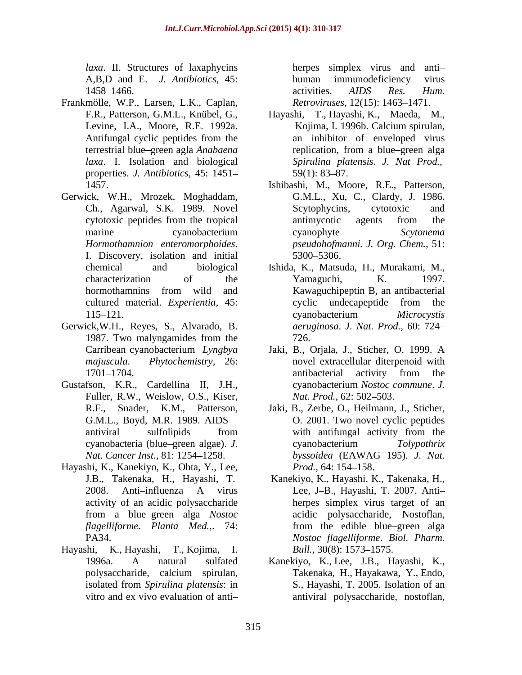*laxa*. II. Structures of laxaphycins herpes simplex virus and anti A,B,D and E. *J. Antibiotics,* 45: 1458–1466. **a** activities. *AIDS* Res. *Hum*.

- Frankmölle, W.P., Larsen, L.K., Caplan, *laxa*. I. Isolation and biological properties. *J. Antibiotics,* 45: 1451
- Gerwick, W.H., Mrozek, Moghaddam,
- Gerwick,W.H., Reyes, S., Alvarado, B.
- Gustafson, K.R., Cardellina II, J.H., Fuller, R.W., Weislow, O.S., Kiser, *Nat. Prod.*, 62: 502–503.
- Hayashi, K., Kanekiyo, K., Ohta, Y., Lee, activity of an acidic polysaccharide
- Hayashi, K., Hayashi, T., Kojima, I.

human immunodeficiency virus activities. *AIDS Res. Hum. Retroviruses,* 12(15): 1463-1471.

- F.R., Patterson, G.M.L., Knübel, G., Hayashi, T., Hayashi, K., Maeda, M., Levine, I.A., Moore, R.E. 1992a. Kojima, I. 1996b. Calcium spirulan, Antifungal cyclic peptides from the an inhibitor of enveloped virus terrestrial blue green agla *Anabaena*  Kojima, I. 1996b. Calcium spirulan, an inhibitor of enveloped virus replication, from a blue–green alga *Spirulina platensis*. *J. Nat Prod.,*  $59(1)$ : 83–87.
- 1457. Ishibashi, M., Moore, R.E., Patterson, Ch., Agarwal, S.K. 1989. Novel cytotoxic peptides from the tropical marine cyanobacterium cyanophyte Scytonema *Hormothamnion enteromorphoides*. I. Discovery, isolation and initial G.M.L., Xu, C., Clardy, J. 1986. Scytophycins, cytotoxic and antimycotic agents from the cyanophyte *Scytonema pseudohofmanni. J. Org. Chem.,* 51: 5300 5306.
- chemical and biological Ishida, K., Matsuda, H., Murakami, M., characterization of the Yamaguchi, K. 1997. hormothamnins from wild and **Kawaguchipeptin B**, an antibacterial cultured material. *Experientia,* 45: 115–121. cyanobacterium Microcystis 1987. Two malyngamides from the  $726$ . Yamaguchi, K. 1997. Kawaguchipeptin B, an antibacterial cyclic undecapeptide from the cyanobacterium *Microcystis aeruginosa*. *J. Nat. Prod.,* 60: 724 726.
- Carribean cyanobacterium *Lyngbya*  Jaki, B., Orjala, J., Sticher, O. 1999. A *majuscula*. *Phytochemistry,* 26: novel extracellular diterpenoid with 1701–1704. antibacterial activity from the antibacterial activity from the cyanobacterium *Nostoc commune*. *J. Nat. Prod.,* 62: 502–503.
- R.F., Snader, K.M., Patterson, Jaki, B., Zerbe, O., Heilmann, J., Sticher, G.M.L., Boyd, M.R. 1989. AIDS O. 2001. Two novel cyclic peptides antiviral sulfolipids from with antifungal activity from the cyanobacteria (blue green algae). *J. Nat. Cancer Inst.,* 81: 1254–1258. byssoidea (EAWAG 195). *J. Nat.* with antifungal activity from the cyanobacterium *Tolypothrix byssoidea* (EAWAG 195). *J. Nat. Prod.,* 64: 154–158.
- J.B., Takenaka, H., Hayashi, T. Kanekiyo, K., Hayashi, K., Takenaka, H., 2008. Anti-influenza A virus Lee, J-B., Hayashi, T. 2007. Antifrom a blue green alga *Nostoc flagelliforme*. *Planta Med.,*. 74: PA34. *Nostoc flagelliforme*. *Biol. Pharm.*  herpes simplex virus target of an acidic polysaccharide, Nostoflan, from the edible blue–green alga *Bull.,* 30(8): 1573–1575.
- 1996a. A natural sulfated Kanekiyo, K., Lee, J.B., Hayashi, K., polysaccharide, calcium spirulan, isolated from *Spirulina platensis*: in vitro and ex vivo evaluation of anti-<br>antiviral polysaccharide, nostoflan, Takenaka, H., Hayakawa, Y., Endo, S., Hayashi, T. 2005. Isolation of an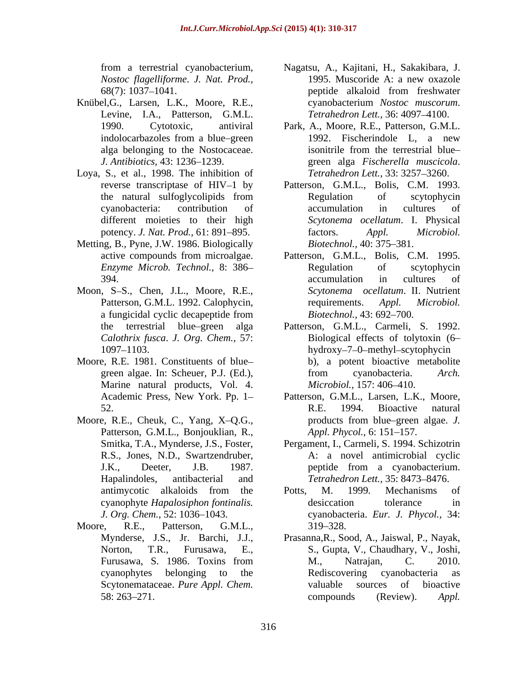- Knübel,G., Larsen, L.K., Moore, R.E., Levine, I.A., Patterson, G.M.L.
- Loya, S., et al., 1998. The inhibition of
- Metting, B., Pyne, J.W. 1986. Biologically Biotechnol., 40: 375–381.
- Moon, S-S., Chen, J.L., Moore, R.E.,
- Moore, R.E. 1981. Constituents of blue Marine natural products, Vol. 4. *Microbiol*, 157:406-410.
- Moore, R.E., Cheuk, C., Yang, X-Q.G., products from blue-green algae. J. Patterson, G.M.L., Bonjouklian, R., *Appl. Phycol.*, 6: 151–157.
- Moore, R.E., Patterson, G.M.L., 319–328.
- from a terrestrial cyanobacterium, Nagatsu, A., Kajitani, H., Sakakibara, J. *Nostoc flagelliforme*. *J. Nat. Prod.,* 68(7): 1037–1041. peptide alkaloid from freshwater 1995. Muscoride A: a new oxazole peptide alkaloid from freshwater cyanobacterium *Nostoc muscorum*. *Tetrahedron Lett.*, 36: 4097–4100.
- 1990. Cytotoxic, antiviral Park, A., Moore, R.E., Patterson, G.M.L. indolocarbazoles from a blue–green 1992. Fischerindole L, a new alga belonging to the Nostocaceae. *J. Antibiotics,* 43: 1236 1239. green alga *Fischerella muscicola*. 1992. Fischerindole L, a new isonitrile from the terrestrial blue *Tetrahedron Lett.*, 33: 3257-3260.
- reverse transcriptase of HIV–1 by Patterson, G.M.L., Bolis, C.M. 1993. the natural sulfoglycolipids from cyanobacteria: contribution of different moieties to their high *Scytonema ocellatum*. I. Physical potency. *J. Nat. Prod.*, 61: 891–895. factors. Appl. Microbiol. Regulation of scytophycin accumulation in cultures of factors. *Appl. Microbiol. Biotechnol.,* 40: 375–381.
- active compounds from microalgae. Patterson, G.M.L., Bolis, C.M. 1995. *Enzyme Microb. Technol.,* 8: 386 394. **394. 394. 394. 394. 394. 394. 394. 394. 394. 394. 395. 396. 396. 396. 396. 396. 396. 396. 396. 396. 396. 396. 396. 396. 396. 396. 396. 396. 396. 396. 396.** Patterson, G.M.L. 1992. Calophycin, requirements. Appl. Microbiol. a fungicidal cyclic decapeptide from Biotechnol., 43: 692–700. Regulation of scytophycin accumulation in cultures of *Scytonema ocellatum*. II. Nutrient requirements. *Appl. Microbiol. Biotechnol.,* 43: 692–700.
- the terrestrial blue green alga Patterson, G.M.L., Carmeli, S. 1992. *Calothrix fusca*. *J. Org. Chem.,* 57: Biological effects of tolytoxin (6 1097–1103. hydroxy–7–0-methyl-scytophycin green algae. In: Scheuer, P.J. (Ed.), from cyanobacteria. Arch. b), a potent bioactive metabolite from cyanobacteria. *Arch. Microbiol.,* 157: 406–410.
- Academic Press, New York. Pp. 1 Patterson, G.M.L., Larsen, L.K., Moore, 52. R.E. 1994. Bioactive natural R.E. 1994. Bioactive natural products from blue green algae. *J. Appl. Phycol., 6:* 151–157.
- Smitka, T.A., Mynderse, J.S., Foster, Pergament, I., Carmeli, S. 1994. Schizotrin R.S., Jones, N.D., Swartzendruber, A: a novel antimicrobial cyclic J.K., Deeter, J.B. 1987. peptide from a cyanobacterium. Hapalindoles, antibacterial and *Tetrahedron Lett.*, 35: 8473–8476. peptide from a cyanobacterium.
- antimycotic alkaloids from the Potts, M. 1999. Mechanisms of cyanophyte *Hapalosiphon fontinalis. J. Org. Chem.,* 52: 1036 1043. cyanobacteria. *Eur. J. Phycol.,* 34: Potts, M. 1999. Mechanisms of desiccation tolerance in 319 328.
- Mynderse, J.S., Jr. Barchi, J.J., Prasanna,R., Sood, A., Jaiswal, P., Nayak, Norton, T.R., Furusawa, E., S., Gupta, V., Chaudhary, V., Joshi, Furusawa, S. 1986. Toxins from cyanophytes belonging to the Scytonemataceae. *Pure Appl. Chem.* valuable sources of bioactive 58: 263–271. compounds (Review). Appl. M., Natrajan, C. 2010. Rediscovering cyanobacteria as valuable sources of bioactive compounds (Review). *Appl.*